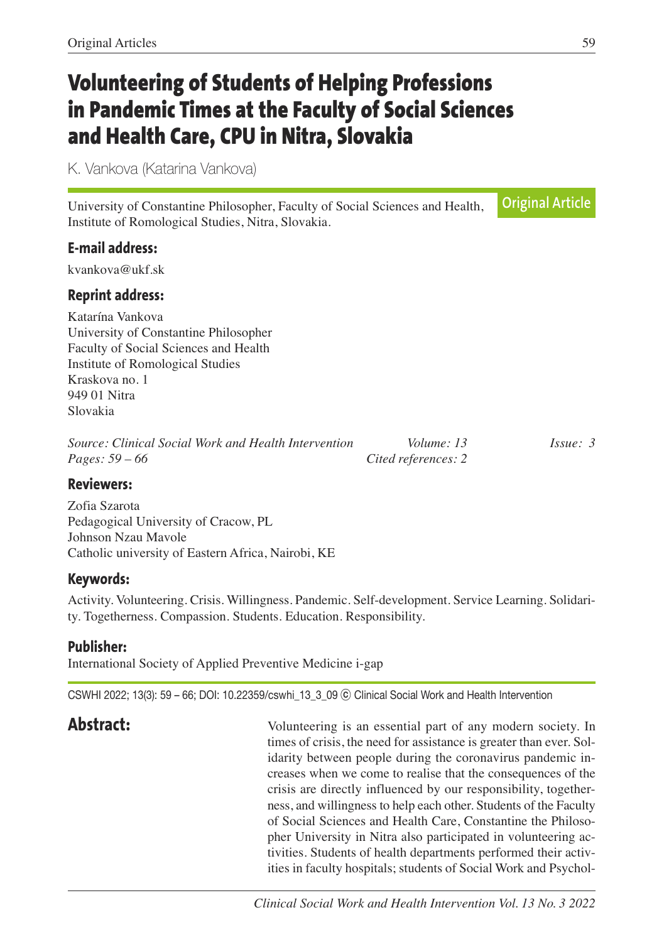# **Volunteering of Students of Helping Professions in Pandemic Times at the Faculty of Social Sciences and Health Care, CPU in Nitra, Slovakia**

K. Vankova (Katarina Vankova)

University of Constantine Philosopher, Faculty of Social Sciences and Health, Institute of Romological Studies, Nitra, Slovakia.

## **E-mail address:**

kvankova@ukf.sk

## **Reprint address:**

Katarína Vankova University of Constantine Philosopher Faculty of Social Sciences and Health Institute of Romological Studies Kraskova no. 1 949 01 Nitra Slovakia

| Source: Clinical Social Work and Health Intervention | Volume: 13          | Issue: 3 |
|------------------------------------------------------|---------------------|----------|
| <i>Pages:</i> $59 - 66$                              | Cited references: 2 |          |

## **Reviewers:**

Zofia Szarota Pedagogical University of Cracow, PL Johnson Nzau Mavole Catholic university of Eastern Africa, Nairobi, KE

## **Keywords:**

Activity. Volunteering. Crisis. Willingness. Pandemic. Self-development. Service Learning. Solidarity. Togetherness. Compassion. Students. Education. Responsibility.

## **Publisher:**

International Society of Applied Preventive Medicine i-gap

CSWHI 2022; 13(3): 59 – 66; DOI: 10.22359/cswhi\_13\_3\_09 ⓒ Clinical Social Work and Health Intervention

**Abstract:** Volunteering is an essential part of any modern society. In times of crisis, the need for assistance is greater than ever. Solidarity between people during the coronavirus pandemic increases when we come to realise that the consequences of the crisis are directly influenced by our responsibility, togetherness, and willingness to help each other. Students of the Faculty of Social Sciences and Health Care, Constantine the Philosopher University in Nitra also participated in volunteering activities. Students of health departments performed their activities in faculty hospitals; students of Social Work and Psychol-

**Original Article**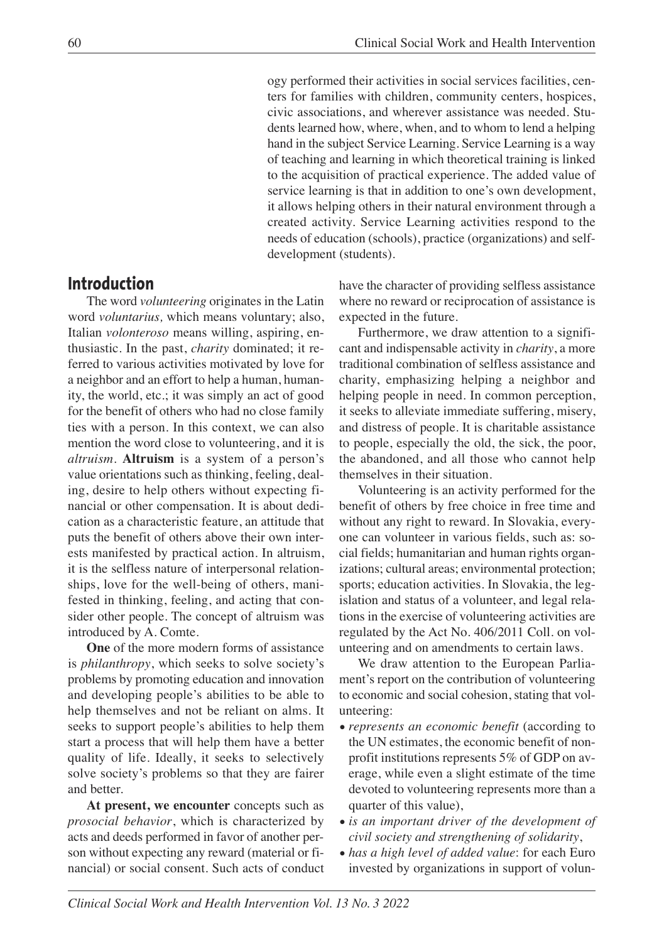ogy performed their activities in social services facilities, centers for families with children, community centers, hospices, civic associations, and wherever assistance was needed. Students learned how, where, when, and to whom to lend a helping hand in the subject Service Learning. Service Learning is a way of teaching and learning in which theoretical training is linked to the acquisition of practical experience. The added value of service learning is that in addition to one's own development, it allows helping others in their natural environment through a created activity. Service Learning activities respond to the needs of education (schools), practice (organizations) and selfdevelopment (students).

## **Introduction**

The word *volunteering* originates in the Latin word *voluntarius,* which means voluntary; also, Italian *volonteroso* means willing, aspiring, enthusiastic. In the past, *charity* dominated; it referred to various activities motivated by love for a neighbor and an effort to help a human, humanity, the world, etc.; it was simply an act of good for the benefit of others who had no close family ties with a person. In this context, we can also mention the word close to volunteering, and it is *altruism.* **Altruism** is a system of a person's value orientations such as thinking, feeling, dealing, desire to help others without expecting financial or other compensation. It is about dedication as a characteristic feature, an attitude that puts the benefit of others above their own interests manifested by practical action. In altruism, it is the selfless nature of interpersonal relationships, love for the well-being of others, manifested in thinking, feeling, and acting that consider other people. The concept of altruism was introduced by A. Comte.

**One** of the more modern forms of assistance is *philanthropy*, which seeks to solve society's problems by promoting education and innovation and developing people's abilities to be able to help themselves and not be reliant on alms. It seeks to support people's abilities to help them start a process that will help them have a better quality of life. Ideally, it seeks to selectively solve society's problems so that they are fairer and better.

**At present, we encounter** concepts such as *prosocial behavior*, which is characterized by acts and deeds performed in favor of another person without expecting any reward (material or financial) or social consent. Such acts of conduct have the character of providing selfless assistance where no reward or reciprocation of assistance is expected in the future.

Furthermore, we draw attention to a significant and indispensable activity in *charity*, a more traditional combination of selfless assistance and charity, emphasizing helping a neighbor and helping people in need. In common perception, it seeks to alleviate immediate suffering, misery, and distress of people. It is charitable assistance to people, especially the old, the sick, the poor, the abandoned, and all those who cannot help themselves in their situation.

Volunteering is an activity performed for the benefit of others by free choice in free time and without any right to reward. In Slovakia, everyone can volunteer in various fields, such as: social fields; humanitarian and human rights organizations; cultural areas; environmental protection; sports; education activities. In Slovakia, the legislation and status of a volunteer, and legal relations in the exercise of volunteering activities are regulated by the Act No. 406/2011 Coll. on volunteering and on amendments to certain laws.

We draw attention to the European Parliament's report on the contribution of volunteering to economic and social cohesion, stating that volunteering:

- *represents an economic benefit* (according to the UN estimates, the economic benefit of nonprofit institutions represents 5% of GDP on average, while even a slight estimate of the time devoted to volunteering represents more than a quarter of this value),
- *is an important driver of the development of civil society and strengthening of solidarity*,
- *has a high level of added value*: for each Euro invested by organizations in support of volun-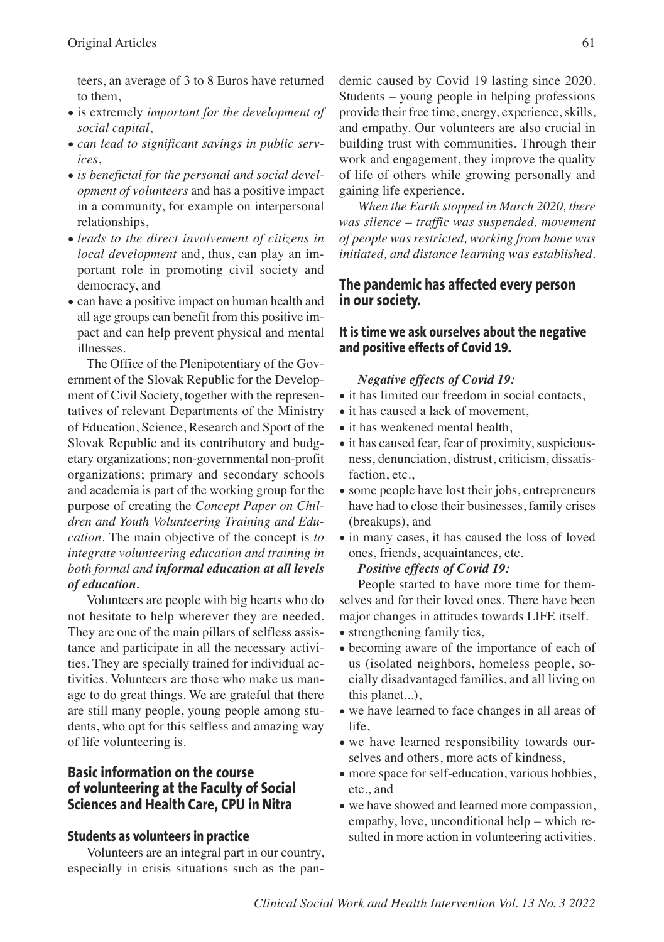teers, an average of 3 to 8 Euros have returned to them,

- is extremely *important for the development of social capital*,
- *can lead to significant savings in public services*,
- *is beneficial for the personal and social development of volunteers* and has a positive impact in a community, for example on interpersonal relationships,
- *leads to the direct involvement of citizens in local development* and, thus, can play an important role in promoting civil society and democracy, and
- can have a positive impact on human health and all age groups can benefit from this positive impact and can help prevent physical and mental illnesses.

The Office of the Plenipotentiary of the Government of the Slovak Republic for the Development of Civil Society, together with the representatives of relevant Departments of the Ministry of Education, Science, Research and Sport of the Slovak Republic and its contributory and budgetary organizations; non-governmental non-profit organizations; primary and secondary schools and academia is part of the working group for the purpose of creating the *Concept Paper on Children and Youth Volunteering Training and Education*. The main objective of the concept is *to integrate volunteering education and training in both formal and informal education at all levels of education.*

Volunteers are people with big hearts who do not hesitate to help wherever they are needed. They are one of the main pillars of selfless assistance and participate in all the necessary activities. They are specially trained for individual activities. Volunteers are those who make us manage to do great things. We are grateful that there are still many people, young people among students, who opt for this selfless and amazing way of life volunteering is.

## **Basic information on the course of volunteering at the Faculty of Social Sciences and Health Care, CPU in Nitra**

#### **Students as volunteers in practice**

Volunteers are an integral part in our country, especially in crisis situations such as the pandemic caused by Covid 19 lasting since 2020. Students – young people in helping professions provide their free time, energy, experience, skills, and empathy. Our volunteers are also crucial in building trust with communities. Through their work and engagement, they improve the quality of life of others while growing personally and gaining life experience.

*When the Earth stopped in March 2020, there was silence – traffic was suspended, movement of people was restricted, working from home was initiated, and distance learning was established.*

#### **The pandemic has affected every person in our society.**

#### **It is time we ask ourselves about the negative and positive effects of Covid 19.**

#### *Negative effects of Covid 19:*

- it has limited our freedom in social contacts,
- it has caused a lack of movement,
- it has weakened mental health,
- it has caused fear, fear of proximity, suspiciousness, denunciation, distrust, criticism, dissatisfaction, etc.,
- some people have lost their jobs, entrepreneurs have had to close their businesses, family crises (breakups), and
- in many cases, it has caused the loss of loved ones, friends, acquaintances, etc.

#### *Positive effects of Covid 19:*

People started to have more time for themselves and for their loved ones. There have been major changes in attitudes towards LIFE itself.

- strengthening family ties,
- becoming aware of the importance of each of us (isolated neighbors, homeless people, socially disadvantaged families, and all living on this planet...),
- we have learned to face changes in all areas of life,
- we have learned responsibility towards ourselves and others, more acts of kindness,
- more space for self-education, various hobbies, etc., and
- we have showed and learned more compassion, empathy, love, unconditional help – which resulted in more action in volunteering activities.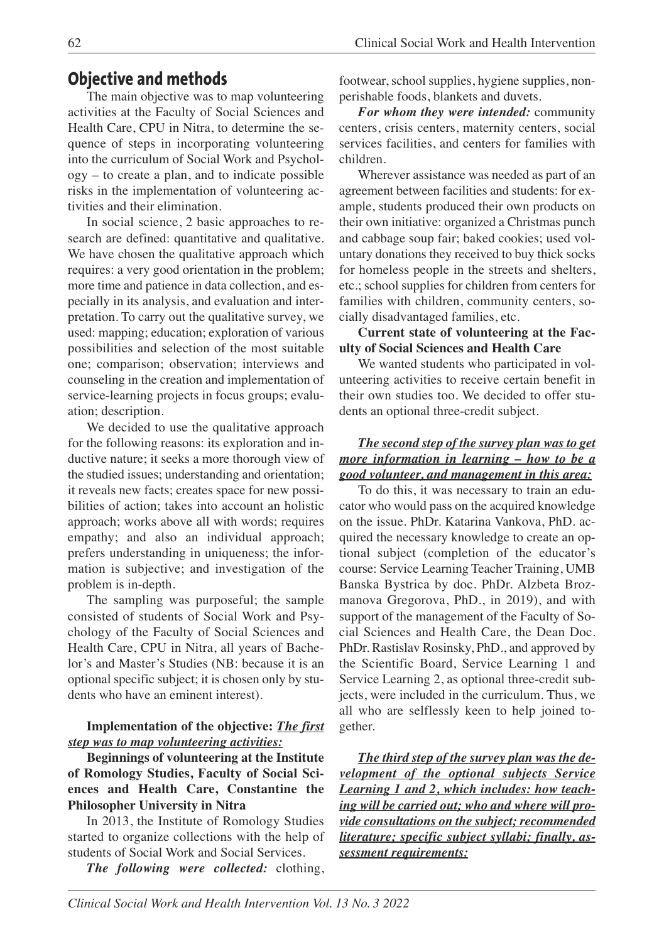## **Objective and methods**

The main objective was to map volunteering activities at the Faculty of Social Sciences and Health Care, CPU in Nitra, to determine the sequence of steps in incorporating volunteering into the curriculum of Social Work and Psychology – to create a plan, and to indicate possible risks in the implementation of volunteering activities and their elimination.

In social science, 2 basic approaches to research are defined: quantitative and qualitative. We have chosen the qualitative approach which requires: a very good orientation in the problem; more time and patience in data collection, and especially in its analysis, and evaluation and interpretation. To carry out the qualitative survey, we used: mapping; education; exploration of various possibilities and selection of the most suitable one; comparison; observation; interviews and counseling in the creation and implementation of service-learning projects in focus groups; evaluation; description.

We decided to use the qualitative approach for the following reasons: its exploration and inductive nature; it seeks a more thorough view of the studied issues; understanding and orientation; it reveals new facts; creates space for new possibilities of action; takes into account an holistic approach; works above all with words; requires empathy; and also an individual approach; prefers understanding in uniqueness; the information is subjective; and investigation of the problem is in-depth.

The sampling was purposeful; the sample consisted of students of Social Work and Psychology of the Faculty of Social Sciences and Health Care, CPU in Nitra, all years of Bachelor's and Master's Studies (NB: because it is an optional specific subject; it is chosen only by students who have an eminent interest).

#### **Implementation of the objective:** *The first step was to map volunteering activities:*

**Beginnings of volunteering at the Institute of Romology Studies, Faculty of Social Sciences and Health Care, Constantine the Philosopher University in Nitra**

In 2013, the Institute of Romology Studies started to organize collections with the help of students of Social Work and Social Services.

*The following were collected:* clothing,

footwear, school supplies, hygiene supplies, nonperishable foods, blankets and duvets.

*For whom they were intended:* community centers, crisis centers, maternity centers, social services facilities, and centers for families with children.

Wherever assistance was needed as part of an agreement between facilities and students: for example, students produced their own products on their own initiative: organized a Christmas punch and cabbage soup fair; baked cookies; used voluntary donations they received to buy thick socks for homeless people in the streets and shelters, etc.; school supplies for children from centers for families with children, community centers, socially disadvantaged families, etc.

#### **Current state of volunteering at the Faculty of Social Sciences and Health Care**

We wanted students who participated in volunteering activities to receive certain benefit in their own studies too. We decided to offer students an optional three-credit subject.

### *The second step of the survey plan was to get more information in learning – how to be a good volunteer, and management in this area:*

To do this, it was necessary to train an educator who would pass on the acquired knowledge on the issue. PhDr. Katarina Vankova, PhD. acquired the necessary knowledge to create an optional subject (completion of the educator's course: Service Learning Teacher Training, UMB Banska Bystrica by doc. PhDr. Alzbeta Brozmanova Gregorova, PhD., in 2019), and with support of the management of the Faculty of Social Sciences and Health Care, the Dean Doc. PhDr. Rastislav Rosinsky, PhD., and approved by the Scientific Board, Service Learning 1 and Service Learning 2, as optional three-credit subjects, were included in the curriculum. Thus, we all who are selflessly keen to help joined together.

*The third step of the survey plan was the development of the optional subjects Service Learning 1 and 2, which includes: how teaching will be carried out; who and where will provide consultations on the subject; recommended literature; specific subject syllabi; finally, assessment requirements:*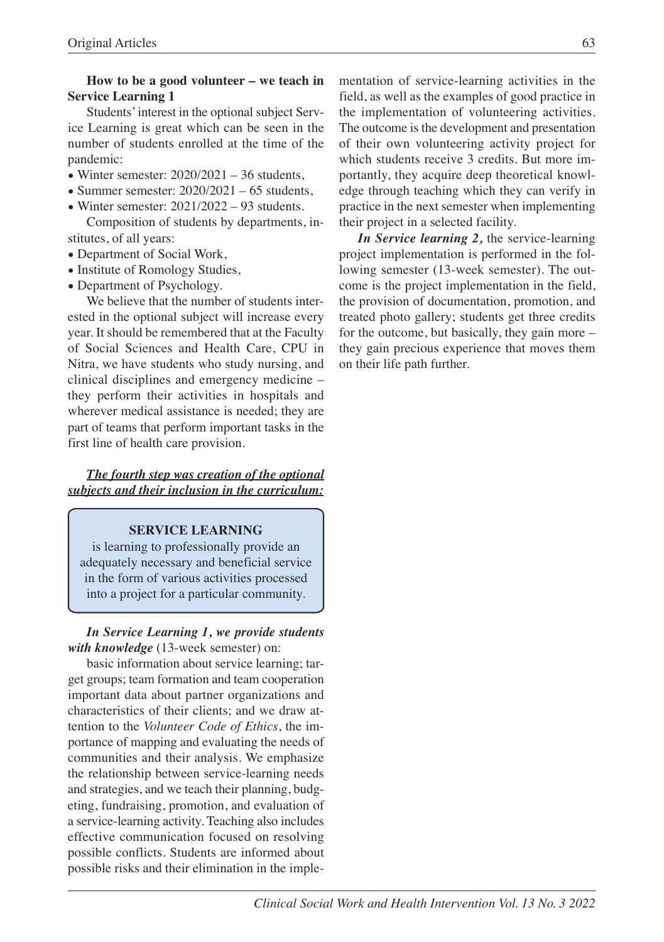### **How to be a good volunteer – we teach in Service Learning 1**

Students'interest in the optional subject Service Learning is great which can be seen in the number of students enrolled at the time of the pandemic:

- Winter semester:  $2020/2021 36$  students,
- Summer semester:  $2020/2021 65$  students,
- Winter semester:  $2021/2022 93$  students.

Composition of students by departments, institutes, of all years:

- Department of Social Work,
- Institute of Romology Studies,
- Department of Psychology.

We believe that the number of students interested in the optional subject will increase every year. It should be remembered that at the Faculty of Social Sciences and Health Care, CPU in Nitra, we have students who study nursing, and clinical disciplines and emergency medicine – they perform their activities in hospitals and wherever medical assistance is needed; they are part of teams that perform important tasks in the first line of health care provision.

*The fourth step was creation of the optional subjects and their inclusion in the curriculum:*

#### **SERVICE LEARNING**

is learning to professionally provide an adequately necessary and beneficial service in the form of various activities processed into a project for a particular community.

*In Service Learning 1, we provide students with knowledge* (13-week semester) on:

basic information about service learning; target groups; team formation and team cooperation important data about partner organizations and characteristics of their clients; and we draw attention to the *Volunteer Code of Ethics*, the importance of mapping and evaluating the needs of communities and their analysis. We emphasize the relationship between service-learning needs and strategies, and we teach their planning, budgeting, fundraising, promotion, and evaluation of a service-learning activity. Teaching also includes effective communication focused on resolving possible conflicts. Students are informed about possible risks and their elimination in the implementation of service-learning activities in the field, as well as the examples of good practice in the implementation of volunteering activities. The outcome is the development and presentation of their own volunteering activity project for which students receive 3 credits. But more importantly, they acquire deep theoretical knowledge through teaching which they can verify in practice in the next semester when implementing their project in a selected facility.

*In Service learning 2,* the service-learning project implementation is performed in the following semester (13-week semester). The outcome is the project implementation in the field, the provision of documentation, promotion, and treated photo gallery; students get three credits for the outcome, but basically, they gain more – they gain precious experience that moves them on their life path further.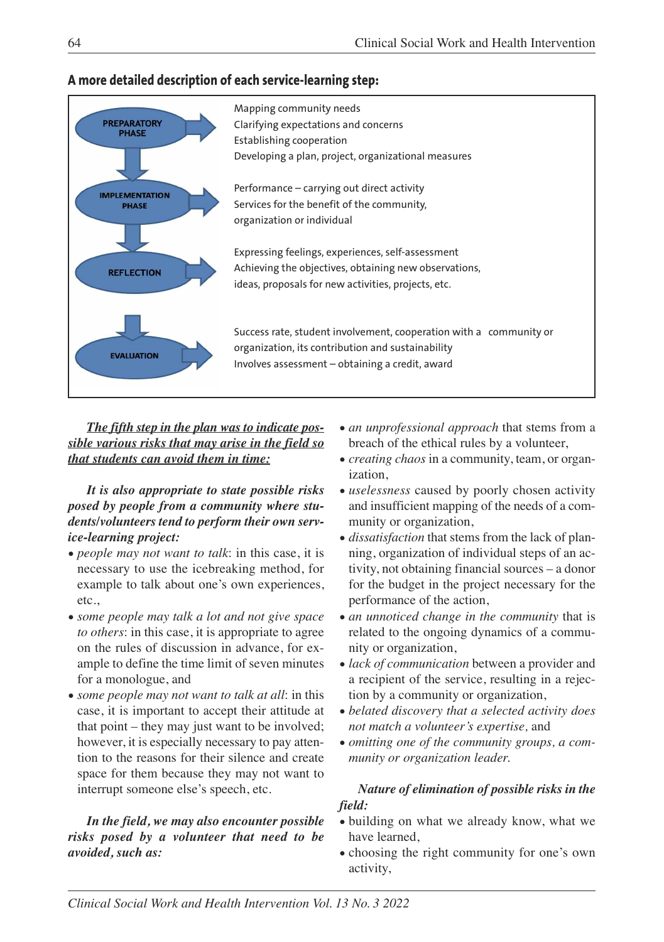

## **A more detailed description of each service-learning step:**

*The fifth step in the plan was to indicate possible various risks that may arise in the field so that students can avoid them in time:*

*It is also appropriate to state possible risks posed by people from a community where students/volunteers tend to perform their own service-learning project:*

- *people may not want to talk*: in this case, it is necessary to use the icebreaking method, for example to talk about one's own experiences, etc.,
- *some people may talk a lot and not give space to others*: in this case, it is appropriate to agree on the rules of discussion in advance, for example to define the time limit of seven minutes for a monologue, and
- *some people may not want to talk at all*: in this case, it is important to accept their attitude at that point – they may just want to be involved; however, it is especially necessary to pay attention to the reasons for their silence and create space for them because they may not want to interrupt someone else's speech, etc.

### *In the field, we may also encounter possible risks posed by a volunteer that need to be avoided, such as:*

- *an unprofessional approach* that stems from a breach of the ethical rules by a volunteer,
- *creating chaos* in a community, team, or organization,
- *uselessness* caused by poorly chosen activity and insufficient mapping of the needs of a community or organization,
- *dissatisfaction* that stems from the lack of planning, organization of individual steps of an activity, not obtaining financial sources – a donor for the budget in the project necessary for the performance of the action,
- *an unnoticed change in the community* that is related to the ongoing dynamics of a community or organization,
- *lack of communication* between a provider and a recipient of the service, resulting in a rejection by a community or organization,
- *belated discovery that a selected activity does not match a volunteer's expertise,* and
- *omitting one of the community groups, a community or organization leader.*

## *Nature of elimination of possible risks in the field:*

- building on what we already know, what we have learned,
- choosing the right community for one's own activity,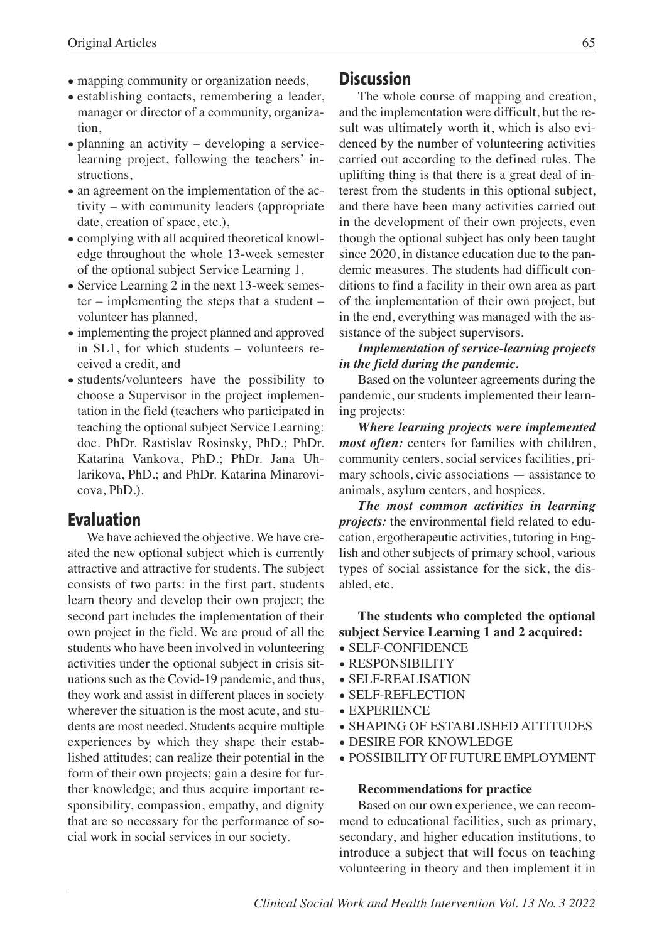- mapping community or organization needs,
- establishing contacts, remembering a leader, manager or director of a community, organization,
- planning an activity developing a servicelearning project, following the teachers' instructions,
- an agreement on the implementation of the activity – with community leaders (appropriate date, creation of space, etc.),
- complying with all acquired theoretical knowledge throughout the whole 13-week semester of the optional subject Service Learning 1,
- Service Learning 2 in the next 13-week semester – implementing the steps that a student – volunteer has planned,
- implementing the project planned and approved in SL1, for which students – volunteers received a credit, and
- students/volunteers have the possibility to choose a Supervisor in the project implementation in the field (teachers who participated in teaching the optional subject Service Learning: doc. PhDr. Rastislav Rosinsky, PhD.; PhDr. Katarina Vankova, PhD.; PhDr. Jana Uhlarikova, PhD.; and PhDr. Katarina Minarovicova, PhD.).

## **Evaluation**

We have achieved the objective. We have created the new optional subject which is currently attractive and attractive for students. The subject consists of two parts: in the first part, students learn theory and develop their own project; the second part includes the implementation of their own project in the field. We are proud of all the students who have been involved in volunteering activities under the optional subject in crisis situations such as the Covid-19 pandemic, and thus, they work and assist in different places in society wherever the situation is the most acute, and students are most needed. Students acquire multiple experiences by which they shape their established attitudes; can realize their potential in the form of their own projects; gain a desire for further knowledge; and thus acquire important responsibility, compassion, empathy, and dignity that are so necessary for the performance of social work in social services in our society.

## **Discussion**

The whole course of mapping and creation, and the implementation were difficult, but the result was ultimately worth it, which is also evidenced by the number of volunteering activities carried out according to the defined rules. The uplifting thing is that there is a great deal of interest from the students in this optional subject, and there have been many activities carried out in the development of their own projects, even though the optional subject has only been taught since 2020, in distance education due to the pandemic measures. The students had difficult conditions to find a facility in their own area as part of the implementation of their own project, but in the end, everything was managed with the assistance of the subject supervisors.

*Implementation of service-learning projects in the field during the pandemic.*

Based on the volunteer agreements during the pandemic, our students implemented their learning projects:

*Where learning projects were implemented most often:* centers for families with children, community centers, social services facilities, primary schools, civic associations — assistance to animals, asylum centers, and hospices.

*The most common activities in learning projects:* the environmental field related to education, ergotherapeutic activities, tutoring in English and other subjects of primary school, various types of social assistance for the sick, the disabled, etc.

**The students who completed the optional subject Service Learning 1 and 2 acquired:**

- SELF-CONFIDENCE
- RESPONSIBILITY
- SELF-REALISATION
- SELF-REFLECTION
- EXPERIENCE
- SHAPING OF ESTABLISHED ATTITUDES
- DESIRE FOR KNOWLEDGE
- POSSIBILITY OF FUTURE EMPLOYMENT

#### **Recommendations for practice**

Based on our own experience, we can recommend to educational facilities, such as primary, secondary, and higher education institutions, to introduce a subject that will focus on teaching volunteering in theory and then implement it in